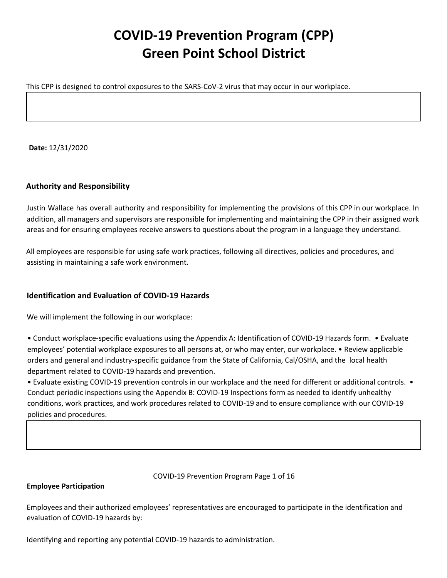# **COVID-19 Prevention Program (CPP) Green Point School District**

This CPP is designed to control exposures to the SARS-CoV-2 virus that may occur in our workplace.

**Date:** 12/31/2020

# **Authority and Responsibility**

Justin Wallace has overall authority and responsibility for implementing the provisions of this CPP in our workplace. In addition, all managers and supervisors are responsible for implementing and maintaining the CPP in their assigned work areas and for ensuring employees receive answers to questions about the program in a language they understand.

All employees are responsible for using safe work practices, following all directives, policies and procedures, and assisting in maintaining a safe work environment.

# **Identification and Evaluation of COVID-19 Hazards**

We will implement the following in our workplace:

• Conduct workplace-specific evaluations using the Appendix A: Identification of COVID-19 Hazards form. • Evaluate employees' potential workplace exposures to all persons at, or who may enter, our workplace. • Review applicable orders and general and industry-specific guidance from the State of California, Cal/OSHA, and the local health department related to COVID-19 hazards and prevention.

• Evaluate existing COVID-19 prevention controls in our workplace and the need for different or additional controls. • Conduct periodic inspections using the Appendix B: COVID-19 Inspections form as needed to identify unhealthy conditions, work practices, and work procedures related to COVID-19 and to ensure compliance with our COVID-19 policies and procedures.

COVID-19 Prevention Program Page 1 of 16

#### **Employee Participation**

Employees and their authorized employees' representatives are encouraged to participate in the identification and evaluation of COVID-19 hazards by:

Identifying and reporting any potential COVID-19 hazards to administration.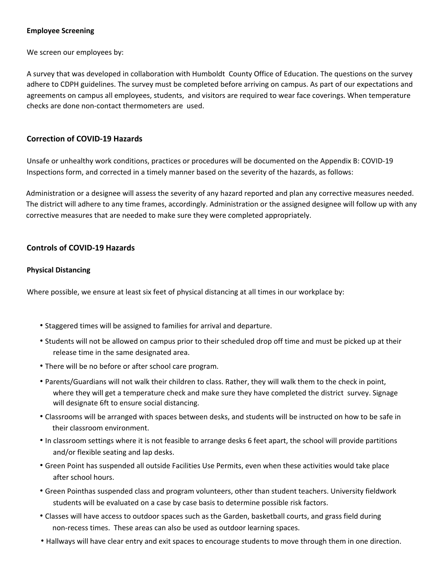#### **Employee Screening**

We screen our employees by:

A survey that was developed in collaboration with Humboldt County Office of Education. The questions on the survey adhere to CDPH guidelines. The survey must be completed before arriving on campus. As part of our expectations and agreements on campus all employees, students, and visitors are required to wear face coverings. When temperature checks are done non-contact thermometers are used.

# **Correction of COVID-19 Hazards**

Unsafe or unhealthy work conditions, practices or procedures will be documented on the Appendix B: COVID-19 Inspections form, and corrected in a timely manner based on the severity of the hazards, as follows:

Administration or a designee will assess the severity of any hazard reported and plan any corrective measures needed. The district will adhere to any time frames, accordingly. Administration or the assigned designee will follow up with any corrective measures that are needed to make sure they were completed appropriately.

# **Controls of COVID-19 Hazards**

#### **Physical Distancing**

Where possible, we ensure at least six feet of physical distancing at all times in our workplace by:

- Staggered times will be assigned to families for arrival and departure.
- Students will not be allowed on campus prior to their scheduled drop off time and must be picked up at their release time in the same designated area.
- There will be no before or after school care program.
- Parents/Guardians will not walk their children to class. Rather, they will walk them to the check in point, where they will get a temperature check and make sure they have completed the district survey. Signage will designate 6ft to ensure social distancing.
- Classrooms will be arranged with spaces between desks, and students will be instructed on how to be safe in their classroom environment.
- In classroom settings where it is not feasible to arrange desks 6 feet apart, the school will provide partitions and/or flexible seating and lap desks.
- Green Point has suspended all outside Facilities Use Permits, even when these activities would take place after school hours.
- Green Pointhas suspended class and program volunteers, other than student teachers. University fieldwork students will be evaluated on a case by case basis to determine possible risk factors.
- Classes will have access to outdoor spaces such as the Garden, basketball courts, and grass field during non-recess times. These areas can also be used as outdoor learning spaces.
- Hallways will have clear entry and exit spaces to encourage students to move through them in one direction.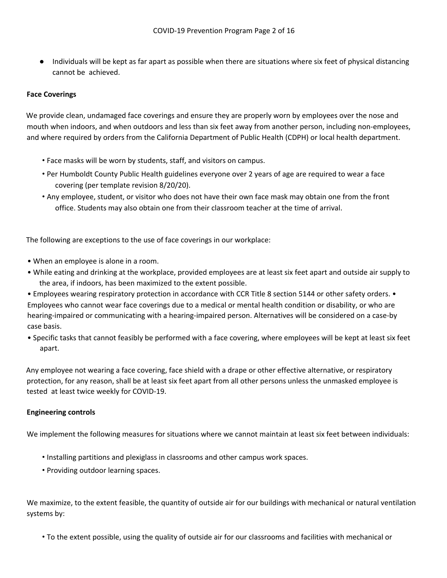Individuals will be kept as far apart as possible when there are situations where six feet of physical distancing cannot be achieved.

# **Face Coverings**

We provide clean, undamaged face coverings and ensure they are properly worn by employees over the nose and mouth when indoors, and when outdoors and less than six feet away from another person, including non-employees, and where required by orders from the California Department of Public Health (CDPH) or local health department.

- Face masks will be worn by students, staff, and visitors on campus.
- Per Humboldt County Public Health guidelines everyone over 2 years of age are required to wear a face covering (per template revision 8/20/20).
- Any employee, student, or visitor who does not have their own face mask may obtain one from the front office. Students may also obtain one from their classroom teacher at the time of arrival.

The following are exceptions to the use of face coverings in our workplace:

- When an employee is alone in a room.
- While eating and drinking at the workplace, provided employees are at least six feet apart and outside air supply to the area, if indoors, has been maximized to the extent possible.
- Employees wearing respiratory protection in accordance with CCR Title 8 section 5144 or other safety orders. Employees who cannot wear face coverings due to a medical or mental health condition or disability, or who are hearing-impaired or communicating with a hearing-impaired person. Alternatives will be considered on a case-by case basis.
- Specific tasks that cannot feasibly be performed with a face covering, where employees will be kept at least six feet apart.

Any employee not wearing a face covering, face shield with a drape or other effective alternative, or respiratory protection, for any reason, shall be at least six feet apart from all other persons unless the unmasked employee is tested at least twice weekly for COVID-19.

#### **Engineering controls**

We implement the following measures for situations where we cannot maintain at least six feet between individuals:

- Installing partitions and plexiglass in classrooms and other campus work spaces.
- Providing outdoor learning spaces.

We maximize, to the extent feasible, the quantity of outside air for our buildings with mechanical or natural ventilation systems by:

• To the extent possible, using the quality of outside air for our classrooms and facilities with mechanical or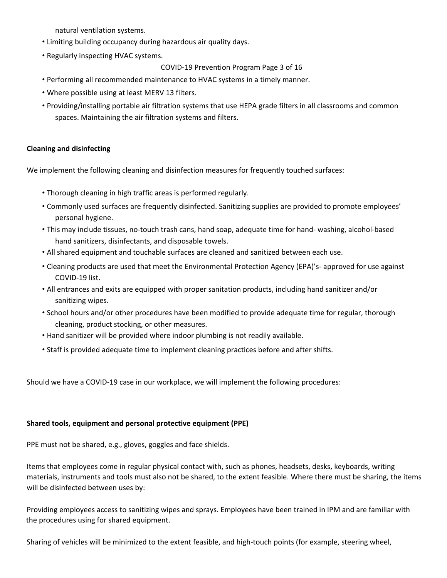natural ventilation systems.

- Limiting building occupancy during hazardous air quality days.
- Regularly inspecting HVAC systems.

```
COVID-19 Prevention Program Page 3 of 16
```
- Performing all recommended maintenance to HVAC systems in a timely manner.
- Where possible using at least MERV 13 filters.
- Providing/installing portable air filtration systems that use HEPA grade filters in all classrooms and common spaces. Maintaining the air filtration systems and filters.

## **Cleaning and disinfecting**

We implement the following cleaning and disinfection measures for frequently touched surfaces:

- Thorough cleaning in high traffic areas is performed regularly.
- Commonly used surfaces are frequently disinfected. Sanitizing supplies are provided to promote employees' personal hygiene.
- This may include tissues, no-touch trash cans, hand soap, adequate time for hand- washing, alcohol-based hand sanitizers, disinfectants, and disposable towels.
- All shared equipment and touchable surfaces are cleaned and sanitized between each use.
- Cleaning products are used that meet the Environmental Protection Agency (EPA)'s- approved for use against COVID-19 list.
- All entrances and exits are equipped with proper sanitation products, including hand sanitizer and/or sanitizing wipes.
- School hours and/or other procedures have been modified to provide adequate time for regular, thorough cleaning, product stocking, or other measures.
- Hand sanitizer will be provided where indoor plumbing is not readily available.
- Staff is provided adequate time to implement cleaning practices before and after shifts.

Should we have a COVID-19 case in our workplace, we will implement the following procedures:

#### **Shared tools, equipment and personal protective equipment (PPE)**

PPE must not be shared, e.g., gloves, goggles and face shields.

Items that employees come in regular physical contact with, such as phones, headsets, desks, keyboards, writing materials, instruments and tools must also not be shared, to the extent feasible. Where there must be sharing, the items will be disinfected between uses by:

Providing employees access to sanitizing wipes and sprays. Employees have been trained in IPM and are familiar with the procedures using for shared equipment.

Sharing of vehicles will be minimized to the extent feasible, and high-touch points (for example, steering wheel,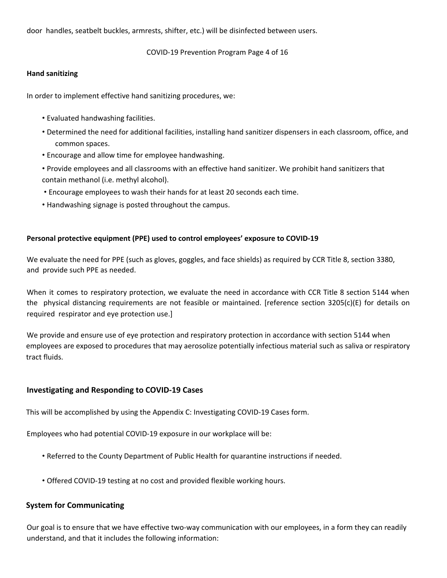door handles, seatbelt buckles, armrests, shifter, etc.) will be disinfected between users.

COVID-19 Prevention Program Page 4 of 16

#### **Hand sanitizing**

In order to implement effective hand sanitizing procedures, we:

- Evaluated handwashing facilities.
- Determined the need for additional facilities, installing hand sanitizer dispensers in each classroom, office, and common spaces.
- Encourage and allow time for employee handwashing.
- Provide employees and all classrooms with an effective hand sanitizer. We prohibit hand sanitizers that contain methanol (i.e. methyl alcohol).
- Encourage employees to wash their hands for at least 20 seconds each time.
- Handwashing signage is posted throughout the campus.

#### **Personal protective equipment (PPE) used to control employees' exposure to COVID-19**

We evaluate the need for PPE (such as gloves, goggles, and face shields) as required by CCR Title 8, section 3380, and provide such PPE as needed.

When it comes to respiratory protection, we evaluate the need in accordance with CCR Title 8 section 5144 when the physical distancing requirements are not feasible or maintained. [reference section 3205(c)(E) for details on required respirator and eye protection use.]

We provide and ensure use of eye protection and respiratory protection in accordance with section 5144 when employees are exposed to procedures that may aerosolize potentially infectious material such as saliva or respiratory tract fluids.

# **Investigating and Responding to COVID-19 Cases**

This will be accomplished by using the Appendix C: Investigating COVID-19 Cases form.

Employees who had potential COVID-19 exposure in our workplace will be:

- Referred to the County Department of Public Health for quarantine instructions if needed.
- Offered COVID-19 testing at no cost and provided flexible working hours.

#### **System for Communicating**

Our goal is to ensure that we have effective two-way communication with our employees, in a form they can readily understand, and that it includes the following information: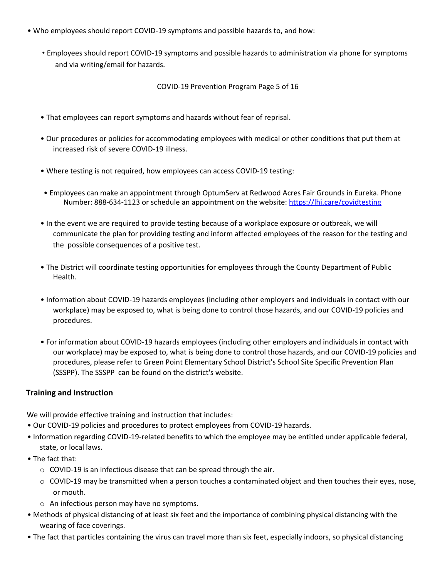- Who employees should report COVID-19 symptoms and possible hazards to, and how:
	- Employees should report COVID-19 symptoms and possible hazards to administration via phone for symptoms and via writing/email for hazards.

COVID-19 Prevention Program Page 5 of 16

- That employees can report symptoms and hazards without fear of reprisal.
- Our procedures or policies for accommodating employees with medical or other conditions that put them at increased risk of severe COVID-19 illness.
- Where testing is not required, how employees can access COVID-19 testing:
- Employees can make an appointment through OptumServ at Redwood Acres Fair Grounds in Eureka. Phone Number: 888-634-1123 or schedule an appointment on the website: https://lhi.care/covidtesting
- In the event we are required to provide testing because of a workplace exposure or outbreak, we will communicate the plan for providing testing and inform affected employees of the reason for the testing and the possible consequences of a positive test.
- The District will coordinate testing opportunities for employees through the County Department of Public Health.
- Information about COVID-19 hazards employees (including other employers and individuals in contact with our workplace) may be exposed to, what is being done to control those hazards, and our COVID-19 policies and procedures.
- For information about COVID-19 hazards employees (including other employers and individuals in contact with our workplace) may be exposed to, what is being done to control those hazards, and our COVID-19 policies and procedures, please refer to Green Point Elementary School District's School Site Specific Prevention Plan (SSSPP). The SSSPP can be found on the district's website.

# **Training and Instruction**

We will provide effective training and instruction that includes:

- Our COVID-19 policies and procedures to protect employees from COVID-19 hazards.
- Information regarding COVID-19-related benefits to which the employee may be entitled under applicable federal, state, or local laws.
- The fact that:
	- o COVID-19 is an infectious disease that can be spread through the air.
	- o COVID-19 may be transmitted when a person touches a contaminated object and then touches their eyes, nose, or mouth.
	- o An infectious person may have no symptoms.
- Methods of physical distancing of at least six feet and the importance of combining physical distancing with the wearing of face coverings.
- The fact that particles containing the virus can travel more than six feet, especially indoors, so physical distancing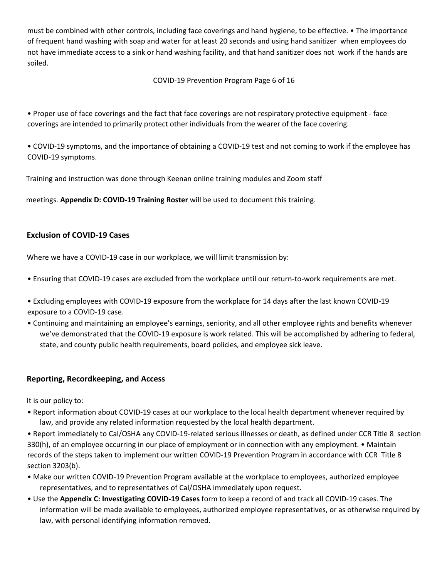must be combined with other controls, including face coverings and hand hygiene, to be effective. • The importance of frequent hand washing with soap and water for at least 20 seconds and using hand sanitizer when employees do not have immediate access to a sink or hand washing facility, and that hand sanitizer does not work if the hands are soiled.

COVID-19 Prevention Program Page 6 of 16

• Proper use of face coverings and the fact that face coverings are not respiratory protective equipment - face coverings are intended to primarily protect other individuals from the wearer of the face covering.

• COVID-19 symptoms, and the importance of obtaining a COVID-19 test and not coming to work if the employee has COVID-19 symptoms.

Training and instruction was done through Keenan online training modules and Zoom staff

meetings. **Appendix D: COVID-19 Training Roster** will be used to document this training.

# **Exclusion of COVID-19 Cases**

Where we have a COVID-19 case in our workplace, we will limit transmission by:

- Ensuring that COVID-19 cases are excluded from the workplace until our return-to-work requirements are met.
- Excluding employees with COVID-19 exposure from the workplace for 14 days after the last known COVID-19 exposure to a COVID-19 case.
- Continuing and maintaining an employee's earnings, seniority, and all other employee rights and benefits whenever we've demonstrated that the COVID-19 exposure is work related. This will be accomplished by adhering to federal, state, and county public health requirements, board policies, and employee sick leave.

#### **Reporting, Recordkeeping, and Access**

It is our policy to:

- Report information about COVID-19 cases at our workplace to the local health department whenever required by law, and provide any related information requested by the local health department.
- Report immediately to Cal/OSHA any COVID-19-related serious illnesses or death, as defined under CCR Title 8 section 330(h), of an employee occurring in our place of employment or in connection with any employment. • Maintain records of the steps taken to implement our written COVID-19 Prevention Program in accordance with CCR Title 8 section 3203(b).
- Make our written COVID-19 Prevention Program available at the workplace to employees, authorized employee representatives, and to representatives of Cal/OSHA immediately upon request.
- Use the **Appendix C: Investigating COVID-19 Cases** form to keep a record of and track all COVID-19 cases. The information will be made available to employees, authorized employee representatives, or as otherwise required by law, with personal identifying information removed.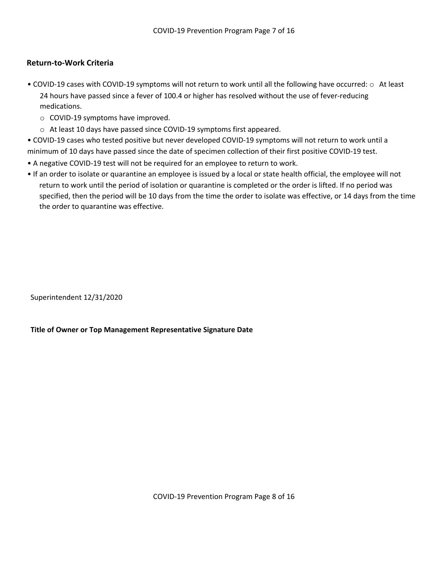# **Return-to-Work Criteria**

- COVID-19 cases with COVID-19 symptoms will not return to work until all the following have occurred: o At least 24 hours have passed since a fever of 100.4 or higher has resolved without the use of fever-reducing medications.
	- o COVID-19 symptoms have improved.
	- o At least 10 days have passed since COVID-19 symptoms first appeared.
- COVID-19 cases who tested positive but never developed COVID-19 symptoms will not return to work until a minimum of 10 days have passed since the date of specimen collection of their first positive COVID-19 test.
- A negative COVID-19 test will not be required for an employee to return to work.
- If an order to isolate or quarantine an employee is issued by a local or state health official, the employee will not return to work until the period of isolation or quarantine is completed or the order is lifted. If no period was specified, then the period will be 10 days from the time the order to isolate was effective, or 14 days from the time the order to quarantine was effective.

Superintendent 12/31/2020

**Title of Owner or Top Management Representative Signature Date**

COVID-19 Prevention Program Page 8 of 16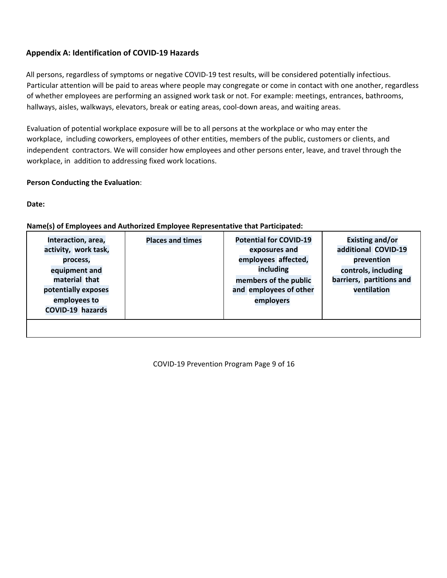# **Appendix A: Identification of COVID-19 Hazards**

All persons, regardless of symptoms or negative COVID-19 test results, will be considered potentially infectious. Particular attention will be paid to areas where people may congregate or come in contact with one another, regardless of whether employees are performing an assigned work task or not. For example: meetings, entrances, bathrooms, hallways, aisles, walkways, elevators, break or eating areas, cool-down areas, and waiting areas.

Evaluation of potential workplace exposure will be to all persons at the workplace or who may enter the workplace, including coworkers, employees of other entities, members of the public, customers or clients, and independent contractors. We will consider how employees and other persons enter, leave, and travel through the workplace, in addition to addressing fixed work locations.

## **Person Conducting the Evaluation**:

**Date:**

# **Name(s) of Employees and Authorized Employee Representative that Participated:**

| barriers, partitions and<br>material that<br>members of the public<br>and employees of other<br>ventilation<br>potentially exposes<br>employees to<br>employers<br>COVID-19 hazards |
|-------------------------------------------------------------------------------------------------------------------------------------------------------------------------------------|
|-------------------------------------------------------------------------------------------------------------------------------------------------------------------------------------|

COVID-19 Prevention Program Page 9 of 16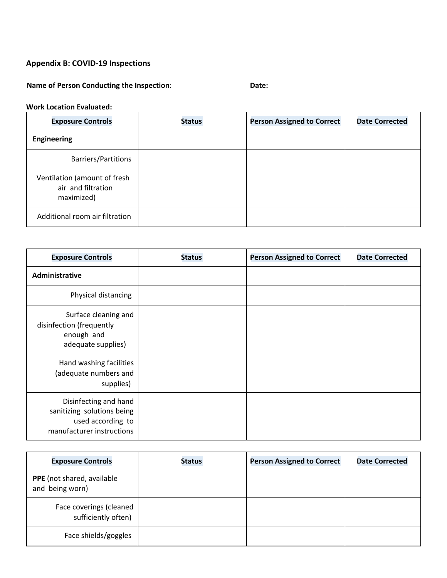# **Appendix B: COVID-19 Inspections**

# **Name of Person Conducting the Inspection**: **Date:**

# **Work Location Evaluated:**

| <b>Exposure Controls</b>                                         | <b>Status</b> | <b>Person Assigned to Correct</b> | <b>Date Corrected</b> |
|------------------------------------------------------------------|---------------|-----------------------------------|-----------------------|
| <b>Engineering</b>                                               |               |                                   |                       |
| <b>Barriers/Partitions</b>                                       |               |                                   |                       |
| Ventilation (amount of fresh<br>air and filtration<br>maximized) |               |                                   |                       |
| Additional room air filtration                                   |               |                                   |                       |

| <b>Exposure Controls</b>                                                                              | <b>Status</b> | <b>Person Assigned to Correct</b> | <b>Date Corrected</b> |
|-------------------------------------------------------------------------------------------------------|---------------|-----------------------------------|-----------------------|
| Administrative                                                                                        |               |                                   |                       |
| Physical distancing                                                                                   |               |                                   |                       |
| Surface cleaning and<br>disinfection (frequently<br>enough and<br>adequate supplies)                  |               |                                   |                       |
| Hand washing facilities<br>(adequate numbers and<br>supplies)                                         |               |                                   |                       |
| Disinfecting and hand<br>sanitizing solutions being<br>used according to<br>manufacturer instructions |               |                                   |                       |

| <b>Exposure Controls</b>                       | <b>Status</b> | <b>Person Assigned to Correct</b> | <b>Date Corrected</b> |
|------------------------------------------------|---------------|-----------------------------------|-----------------------|
| PPE (not shared, available<br>and being worn)  |               |                                   |                       |
| Face coverings (cleaned<br>sufficiently often) |               |                                   |                       |
| Face shields/goggles                           |               |                                   |                       |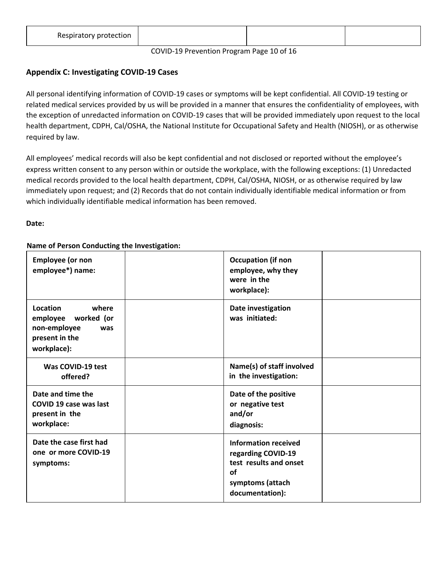| Respiratory protection |  |  |
|------------------------|--|--|
|                        |  |  |

#### COVID-19 Prevention Program Page 10 of 16

# **Appendix C: Investigating COVID-19 Cases**

All personal identifying information of COVID-19 cases or symptoms will be kept confidential. All COVID-19 testing or related medical services provided by us will be provided in a manner that ensures the confidentiality of employees, with the exception of unredacted information on COVID-19 cases that will be provided immediately upon request to the local health department, CDPH, Cal/OSHA, the National Institute for Occupational Safety and Health (NIOSH), or as otherwise required by law.

All employees' medical records will also be kept confidential and not disclosed or reported without the employee's express written consent to any person within or outside the workplace, with the following exceptions: (1) Unredacted medical records provided to the local health department, CDPH, Cal/OSHA, NIOSH, or as otherwise required by law immediately upon request; and (2) Records that do not contain individually identifiable medical information or from which individually identifiable medical information has been removed.

**Date:**

# **Name of Person Conducting the Investigation:**

| <b>Employee (or non</b><br>employee*) name:                                                      | <b>Occupation (if non</b><br>employee, why they<br>were in the<br>workplace):                                            |
|--------------------------------------------------------------------------------------------------|--------------------------------------------------------------------------------------------------------------------------|
| Location<br>where<br>employee worked (or<br>non-employee<br>was<br>present in the<br>workplace): | Date investigation<br>was initiated:                                                                                     |
| Was COVID-19 test<br>offered?                                                                    | Name(s) of staff involved<br>in the investigation:                                                                       |
| Date and time the<br><b>COVID 19 case was last</b><br>present in the<br>workplace:               | Date of the positive<br>or negative test<br>and/or<br>diagnosis:                                                         |
| Date the case first had<br>one or more COVID-19<br>symptoms:                                     | <b>Information received</b><br>regarding COVID-19<br>test results and onset<br>οf<br>symptoms (attach<br>documentation): |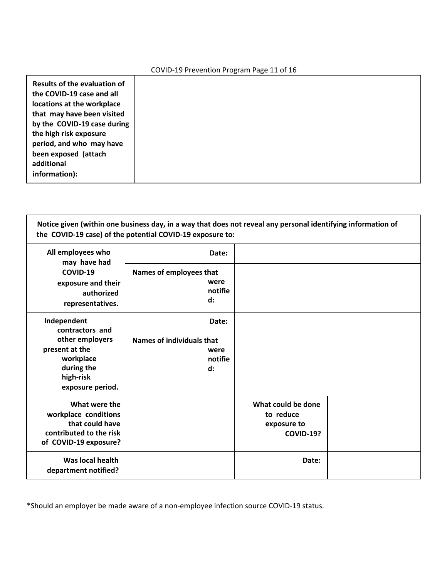#### COVID-19 Prevention Program Page 11 of 16

| Results of the evaluation of<br>the COVID-19 case and all<br>locations at the workplace<br>that may have been visited |
|-----------------------------------------------------------------------------------------------------------------------|
| by the COVID-19 case during<br>the high risk exposure                                                                 |
| period, and who may have<br>been exposed (attach                                                                      |
| additional<br>information):                                                                                           |

Notice given (within one business day, in a way that does not reveal any personal identifying information of **the COVID-19 case) of the potential COVID-19 exposure to:**

| All employees who<br>may have had                                                                            | Date:                                                                 |                                                                    |  |
|--------------------------------------------------------------------------------------------------------------|-----------------------------------------------------------------------|--------------------------------------------------------------------|--|
| COVID-19<br>exposure and their<br>authorized<br>representatives.                                             | Names of employees that<br>were<br>notifie<br>$\mathbf{d}$ :          |                                                                    |  |
| Independent<br>contractors and                                                                               | Date:                                                                 |                                                                    |  |
| other employers<br>present at the<br>workplace<br>during the<br>high-risk<br>exposure period.                | <b>Names of individuals that</b><br>were<br>notifie<br>$\mathbf{d}$ : |                                                                    |  |
| What were the<br>workplace conditions<br>that could have<br>contributed to the risk<br>of COVID-19 exposure? |                                                                       | What could be done<br>to reduce<br>exposure to<br><b>COVID-19?</b> |  |
| Was local health<br>department notified?                                                                     |                                                                       | Date:                                                              |  |

\*Should an employer be made aware of a non-employee infection source COVID-19 status.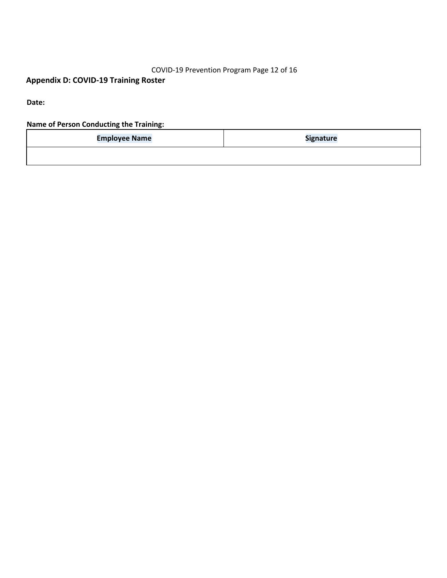# COVID-19 Prevention Program Page 12 of 16

# **Appendix D: COVID-19 Training Roster**

**Date:**

**Name of Person Conducting the Training:**

| <b>Employee Name</b> | Signature |  |
|----------------------|-----------|--|
|                      |           |  |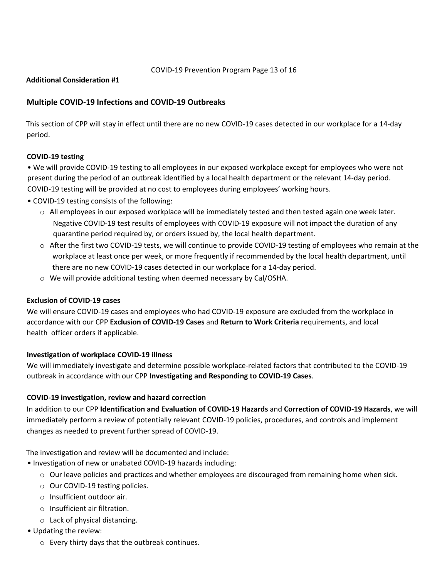#### COVID-19 Prevention Program Page 13 of 16

# **Additional Consideration #1**

# **Multiple COVID-19 Infections and COVID-19 Outbreaks**

This section of CPP will stay in effect until there are no new COVID-19 cases detected in our workplace for a 14-day period.

## **COVID-19 testing**

• We will provide COVID-19 testing to all employees in our exposed workplace except for employees who were not present during the period of an outbreak identified by a local health department or the relevant 14-day period. COVID-19 testing will be provided at no cost to employees during employees' working hours.

- COVID-19 testing consists of the following:
	- o All employees in our exposed workplace will be immediately tested and then tested again one week later. Negative COVID-19 test results of employees with COVID-19 exposure will not impact the duration of any quarantine period required by, or orders issued by, the local health department.
	- o After the first two COVID-19 tests, we will continue to provide COVID-19 testing of employees who remain at the workplace at least once per week, or more frequently if recommended by the local health department, until there are no new COVID-19 cases detected in our workplace for a 14-day period.
	- o We will provide additional testing when deemed necessary by Cal/OSHA.

#### **Exclusion of COVID-19 cases**

We will ensure COVID-19 cases and employees who had COVID-19 exposure are excluded from the workplace in accordance with our CPP **Exclusion of COVID-19 Cases** and **Return to Work Criteria** requirements, and local health officer orders if applicable.

#### **Investigation of workplace COVID-19 illness**

We will immediately investigate and determine possible workplace-related factors that contributed to the COVID-19 outbreak in accordance with our CPP **Investigating and Responding to COVID-19 Cases**.

#### **COVID-19 investigation, review and hazard correction**

In addition to our CPP **Identification and Evaluation of COVID-19 Hazards** and **Correction of COVID-19 Hazards**, we will immediately perform a review of potentially relevant COVID-19 policies, procedures, and controls and implement changes as needed to prevent further spread of COVID-19.

The investigation and review will be documented and include:

- Investigation of new or unabated COVID-19 hazards including:
	- $\circ$  Our leave policies and practices and whether employees are discouraged from remaining home when sick.
	- o Our COVID-19 testing policies.
	- o Insufficient outdoor air.
	- o Insufficient air filtration.
	- o Lack of physical distancing.
- Updating the review:
	- o Every thirty days that the outbreak continues.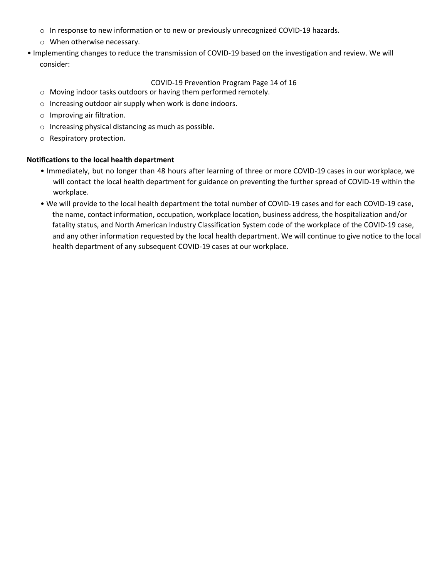- o In response to new information or to new or previously unrecognized COVID-19 hazards.
- o When otherwise necessary.
- Implementing changes to reduce the transmission of COVID-19 based on the investigation and review. We will consider:

## COVID-19 Prevention Program Page 14 of 16

- o Moving indoor tasks outdoors or having them performed remotely.
- o Increasing outdoor air supply when work is done indoors.
- o Improving air filtration.
- o Increasing physical distancing as much as possible.
- o Respiratory protection.

#### **Notifications to the local health department**

- Immediately, but no longer than 48 hours after learning of three or more COVID-19 cases in our workplace, we will contact the local health department for guidance on preventing the further spread of COVID-19 within the workplace.
- We will provide to the local health department the total number of COVID-19 cases and for each COVID-19 case, the name, contact information, occupation, workplace location, business address, the hospitalization and/or fatality status, and North American Industry Classification System code of the workplace of the COVID-19 case, and any other information requested by the local health department. We will continue to give notice to the local health department of any subsequent COVID-19 cases at our workplace.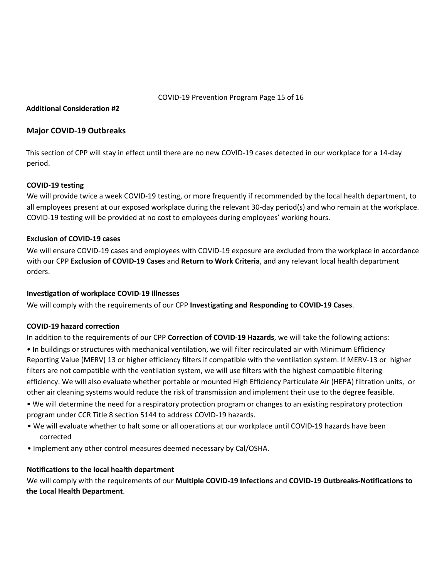COVID-19 Prevention Program Page 15 of 16

## **Additional Consideration #2**

#### **Major COVID-19 Outbreaks**

This section of CPP will stay in effect until there are no new COVID-19 cases detected in our workplace for a 14-day period.

## **COVID-19 testing**

We will provide twice a week COVID-19 testing, or more frequently if recommended by the local health department, to all employees present at our exposed workplace during the relevant 30-day period(s) and who remain at the workplace. COVID-19 testing will be provided at no cost to employees during employees' working hours.

#### **Exclusion of COVID-19 cases**

We will ensure COVID-19 cases and employees with COVID-19 exposure are excluded from the workplace in accordance with our CPP **Exclusion of COVID-19 Cases** and **Return to Work Criteria**, and any relevant local health department orders.

#### **Investigation of workplace COVID-19 illnesses**

We will comply with the requirements of our CPP **Investigating and Responding to COVID-19 Cases**.

#### **COVID-19 hazard correction**

In addition to the requirements of our CPP **Correction of COVID-19 Hazards**, we will take the following actions:

- In buildings or structures with mechanical ventilation, we will filter recirculated air with Minimum Efficiency Reporting Value (MERV) 13 or higher efficiency filters if compatible with the ventilation system. If MERV-13 or higher filters are not compatible with the ventilation system, we will use filters with the highest compatible filtering efficiency. We will also evaluate whether portable or mounted High Efficiency Particulate Air (HEPA) filtration units, or other air cleaning systems would reduce the risk of transmission and implement their use to the degree feasible.
- We will determine the need for a respiratory protection program or changes to an existing respiratory protection program under CCR Title 8 section 5144 to address COVID-19 hazards.
- We will evaluate whether to halt some or all operations at our workplace until COVID-19 hazards have been corrected
- Implement any other control measures deemed necessary by Cal/OSHA.

#### **Notifications to the local health department**

We will comply with the requirements of our **Multiple COVID-19 Infections** and **COVID-19 Outbreaks-Notifications to the Local Health Department**.